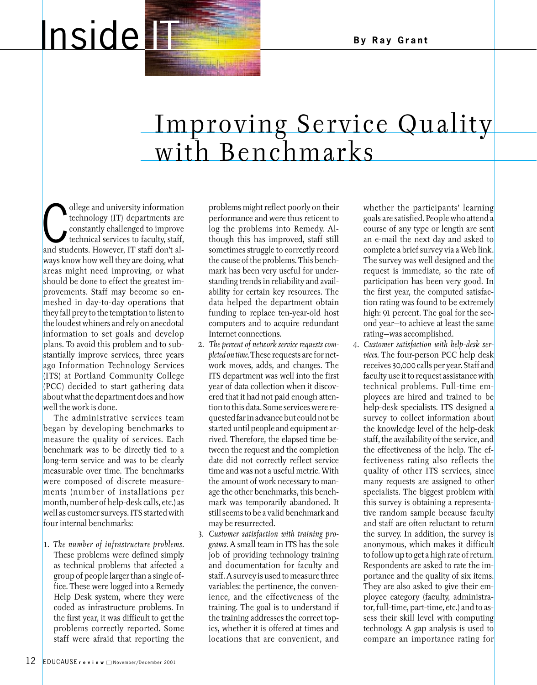## Inside **IT All Side IT All All And By Ray Grant**

## Improving Service Quality with Benchmarks

The discreption of the discreption of the constantly challenged to improve<br>technical services to faculty, staff,<br>and students. However, IT staff don't alollege and university information technology (IT) departments are constantly challenged to improve technical services to faculty, staff, ways know how well they are doing, what areas might need improving, or what should be done to effect the greatest improvements. Staff may become so enmeshed in day-to-day operations that they fall prey to the temptation to listen to the loudest whiners and rely on anecdotal information to set goals and develop plans. To avoid this problem and to substantially improve services, three years ago Information Technology Services (ITS) at Portland Community College (PCC) decided to start gathering data about what the department does and how well the work is done.

The administrative services team began by developing benchmarks to measure the quality of services. Each benchmark was to be directly tied to a long-term service and was to be clearly measurable over time. The benchmarks were composed of discrete measurements (number of installations per month, number of help-desk calls, etc.) as well as customer surveys. ITS started with four internal benchmarks:

1. *The number of infrastructure problems.* These problems were defined simply as technical problems that affected a group of people larger than a single office. These were logged into a Remedy Help Desk system, where they were coded as infrastructure problems. In the first year, it was difficult to get the problems correctly reported. Some staff were afraid that reporting the

problems might reflect poorly on their performance and were thus reticent to log the problems into Remedy. Although this has improved, staff still sometimes struggle to correctly record the cause of the problems. This benchmark has been very useful for understanding trends in reliability and availability for certain key resources. The data helped the department obtain funding to replace ten-year-old host computers and to acquire redundant Internet connections.

- 2. *The percent of network service requests completed on time.* These requests are for network moves, adds, and changes. The ITS department was well into the first year of data collection when it discovered that it had not paid enough attention to this data. Some services were requested far in advance but could not be started until people and equipment arrived. Therefore, the elapsed time between the request and the completion date did not correctly reflect service time and was not a useful metric. With the amount of work necessary to manage the other benchmarks, this benchmark was temporarily abandoned. It still seems to be a valid benchmark and may be resurrected.
- 3. *Customer satisfaction with training programs.* A small team in ITS has the sole job of providing technology training and documentation for faculty and staff. A survey is used to measure three variables: the pertinence, the convenience, and the effectiveness of the training. The goal is to understand if the training addresses the correct topics, whether it is offered at times and locations that are convenient, and

whether the participants' learning goals are satisfied. People who attend a course of any type or length are sent an e-mail the next day and asked to complete a brief survey via a Web link. The survey was well designed and the request is immediate, so the rate of participation has been very good. In the first year, the computed satisfaction rating was found to be extremely high: 91 percent. The goal for the second year—to achieve at least the same rating—was accomplished.

4. *Customer satisfaction with help-desk services.* The four-person PCC help desk receives 30,000 calls per year. Staff and faculty use it to request assistance with technical problems. Full-time employees are hired and trained to be help-desk specialists. ITS designed a survey to collect information about the knowledge level of the help-desk staff, the availability of the service, and the effectiveness of the help. The effectiveness rating also reflects the quality of other ITS services, since many requests are assigned to other specialists. The biggest problem with this survey is obtaining a representative random sample because faculty and staff are often reluctant to return the survey. In addition, the survey is anonymous, which makes it difficult to follow up to get a high rate of return. Respondents are asked to rate the importance and the quality of six items. They are also asked to give their employee category (faculty, administrator, full-time, part-time, etc.) and to assess their skill level with computing technology. A gap analysis is used to compare an importance rating for